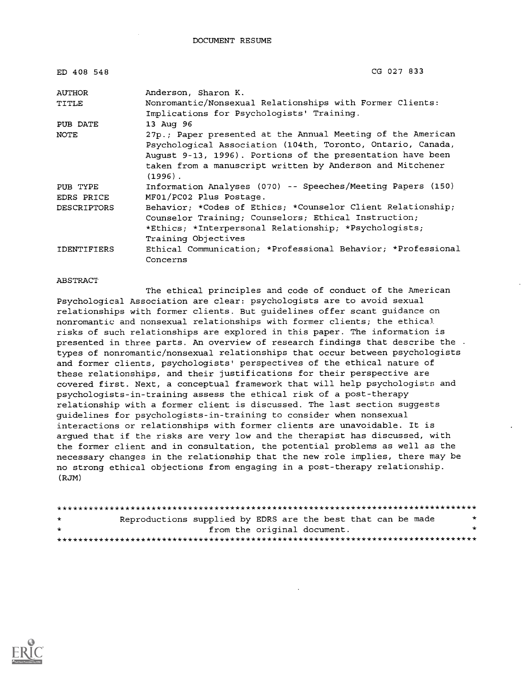| ED 408 548         | CG 027 833                                                   |
|--------------------|--------------------------------------------------------------|
| AUTHOR             | Anderson, Sharon K.                                          |
| TITLE              | Nonromantic/Nonsexual Relationships with Former Clients:     |
|                    | Implications for Psychologists' Training.                    |
| PUB DATE           | 13 Aug 96                                                    |
| NOTE               | 27p.; Paper presented at the Annual Meeting of the American  |
|                    | Psychological Association (104th, Toronto, Ontario, Canada,  |
|                    | August 9-13, 1996). Portions of the presentation have been   |
|                    | taken from a manuscript written by Anderson and Mitchener    |
|                    | $(1996)$ .                                                   |
| PUB TYPE           | Information Analyses (070) -- Speeches/Meeting Papers (150)  |
| EDRS PRICE         | MF01/PC02 Plus Postage.                                      |
| <b>DESCRIPTORS</b> | Behavior: *Codes of Ethics; *Counselor Client Relationship;  |
|                    | Counselor Training; Counselors; Ethical Instruction;         |
|                    | *Ethics; *Interpersonal Relationship; *Psychologists;        |
|                    | Training Objectives                                          |
| IDENTIFIERS        | Ethical Communication; *Professional Behavior; *Professional |
|                    | Concerns                                                     |

#### **ABSTRACT**

The ethical principles and code of conduct of the American Psychological Association are clear: psychologists are to avoid sexual relationships with former clients. But guidelines offer scant guidance on nonromantic and nonsexual relationships with former clients; the ethical risks of such relationships are explored in this paper. The information is presented in three parts. An overview of research findings that describe the . types of nonromantic/nonsexual relationships that occur between psychologists and former clients, psychologists' perspectives of the ethical nature of these relationships, and their justifications for their perspective are covered first. Next, a conceptual framework that will help psychologists and psychologists-in-training assess the ethical risk of a post-therapy relationship with a former client is discussed. The last section suggests guidelines for psychologists-in-training to consider when nonsexual interactions or relationships with former clients are unavoidable. It is argued that if the risks are very low and the therapist has discussed, with the former client and in consultation, the potential problems as well as the necessary changes in the relationship that the new role implies, there may be no strong ethical objections from engaging in a post-therapy relationship. (RJM)

| $\star$ | Reproductions supplied by EDRS are the best that can be made |                             |  |  | $\star$ |
|---------|--------------------------------------------------------------|-----------------------------|--|--|---------|
| $\star$ |                                                              | from the original document. |  |  | $\star$ |
|         |                                                              |                             |  |  |         |

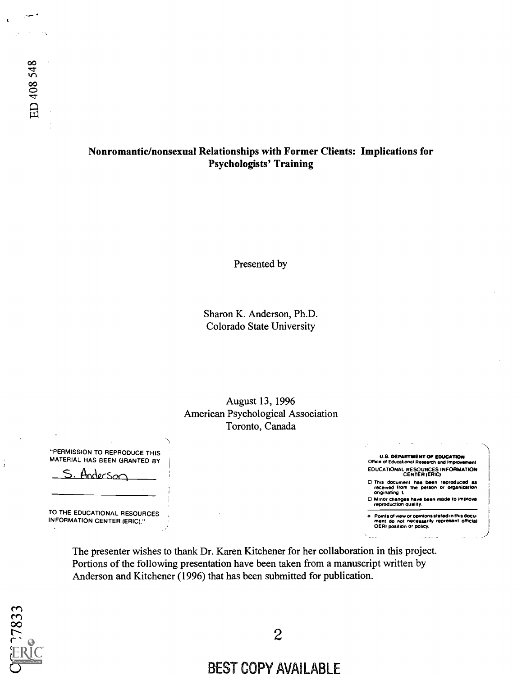## Nonromantic/nonsexual Relationships with Former Clients: Implications for Psychologists' Training

Presented by

Sharon K. Anderson, Ph.D. Colorado State University

August 13, 1996 American Psychological Association Toronto, Canada

U.S. DEPARTMENT Of EDUCATION Office of Educational Research and Impro EDUCATIONAL RESOURCES INFORMATION CENTER (ERIC) 0 This document has been reproduced as received from the person or organization originating it 0 Minor changes have been made to improve reproduction quality.

e - Points of view or opinions stated in this docu-<br>- ment ido not inecessarily represent official<br>- OERI position or policy.

"PERMISSION TO REPRODUCE THIS MATERIAL HAS BEEN GRANTED BY

Anderson

TO THE EDUCATIONAL RESOURCES INFORMATION CENTER (ERIC)."

> The presenter wishes to thank Dr. Karen Kitchener for her collaboration in this project. Portions of the following presentation have been taken from a manuscript written by Anderson and Kitchener (1996) that has been submitted for publication.



 $\frac{1}{4}$ 

# BEST COPY AVAILABLE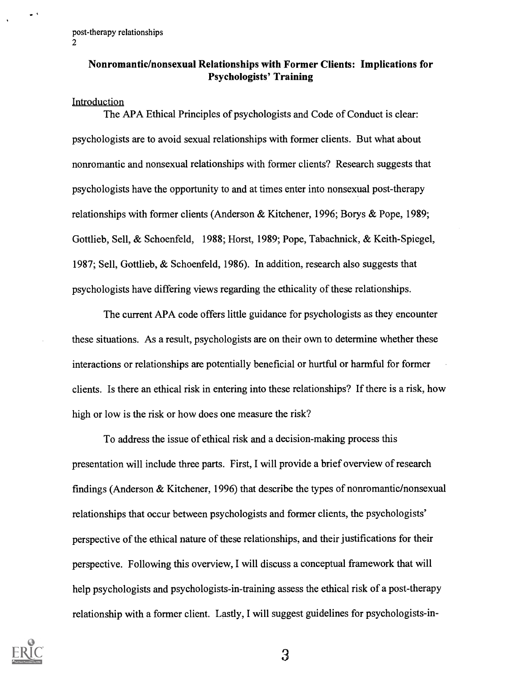## Nonromantic/nonsexual Relationships with Former Clients: Implications for Psychologists' Training

#### Introduction

 $\bullet$ 

The APA Ethical Principles of psychologists and Code of Conduct is clear: psychologists are to avoid sexual relationships with former clients. But what about nonromantic and nonsexual relationships with former clients? Research suggests that psychologists have the opportunity to and at times enter into nonsexual post-therapy relationships with former clients (Anderson & Kitchener, 1996; Borys & Pope, 1989; Gottlieb, Sell, & Schoenfeld, 1988; Horst, 1989; Pope, Tabachnick, & Keith-Spiegel, 1987; Sell, Gottlieb, & Schoenfeld, 1986). In addition, research also suggests that psychologists have differing views regarding the ethicality of these relationships.

The current APA code offers little guidance for psychologists as they encounter these situations. As a result, psychologists are on their own to determine whether these interactions or relationships are potentially beneficial or hurtful or harmful for former clients. Is there an ethical risk in entering into these relationships? If there is a risk, how high or low is the risk or how does one measure the risk?

To address the issue of ethical risk and a decision-making process this presentation will include three parts. First, I will provide a brief overview of research findings (Anderson & Kitchener, 1996) that describe the types of nonromantic/nonsexual relationships that occur between psychologists and former clients, the psychologists' perspective of the ethical nature of these relationships, and their justifications for their perspective. Following this overview, I will discuss a conceptual framework that will help psychologists and psychologists-in-training assess the ethical risk of a post-therapy relationship with a former client. Lastly, I will suggest guidelines for psychologists-in-

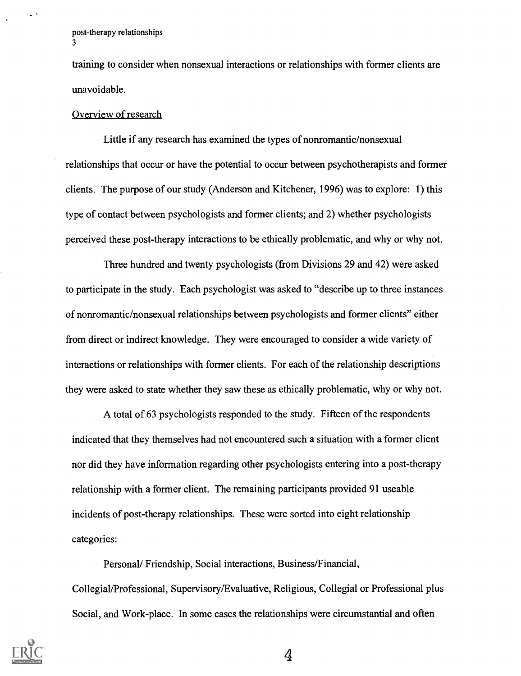$\sim$   $^{-1}$ 

training to consider when nonsexual interactions or relationships with former clients are unavoidable.

#### Overview of research

Little if any research has examined the types of nonromantic/nonsexual relationships that occur or have the potential to occur between psychotherapists and former clients. The purpose of our study (Anderson and Kitchener, 1996) was to explore: 1) this type of contact between psychologists and former clients; and 2) whether psychologists perceived these post-therapy interactions to be ethically problematic, and why or why not.

Three hundred and twenty psychologists (from Divisions 29 and 42) were asked to participate in the study. Each psychologist was asked to "describe up to three instances of nonromantic/nonsexual relationships between psychologists and former clients" either from direct or indirect knowledge. They were encouraged to consider a wide variety of interactions or relationships with former clients. For each of the relationship descriptions they were asked to state whether they saw these as ethically problematic, why or why not.

A total of 63 psychologists responded to the study. Fifteen of the respondents indicated that they themselves had not encountered such a situation with a former client nor did they have information regarding other psychologists entering into a post-therapy relationship with a former client. The remaining participants provided 91 useable incidents of post-therapy relationships. These were sorted into eight relationship categories:

Personal/ Friendship, Social interactions, Business/Financial, Collegial/Professional, Supervisory/Evaluative, Religious, Collegial or Professional plus Social, and Work-place. In some cases the relationships were circumstantial and often

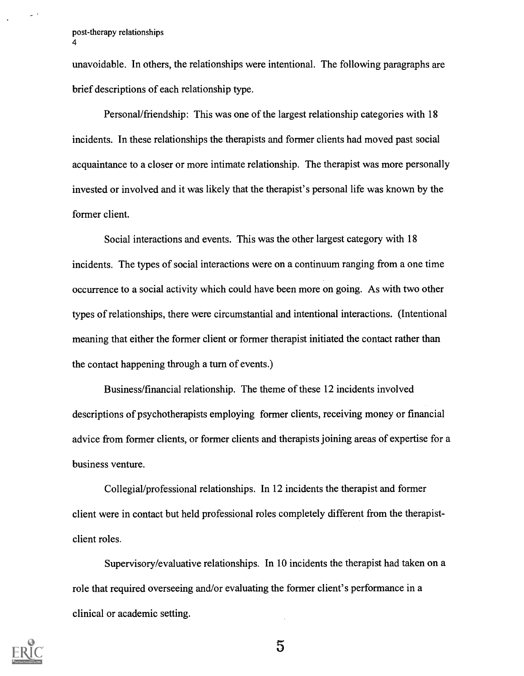unavoidable. In others, the relationships were intentional. The following paragraphs are brief descriptions of each relationship type.

Personal/friendship: This was one of the largest relationship categories with 18 incidents. In these relationships the therapists and former clients had moved past social acquaintance to a closer or more intimate relationship. The therapist was more personally invested or involved and it was likely that the therapist's personal life was known by the former client.

Social interactions and events. This was the other largest category with 18 incidents. The types of social interactions were on a continuum ranging from a one time occurrence to a social activity which could have been more on going. As with two other types of relationships, there were circumstantial and intentional interactions. (Intentional meaning that either the former client or former therapist initiated the contact rather than the contact happening through a turn of events.)

Business/financial relationship. The theme of these 12 incidents involved descriptions of psychotherapists employing former clients, receiving money or financial advice from former clients, or former clients and therapists joining areas of expertise for a business venture.

Collegial/professional relationships. In 12 incidents the therapist and former client were in contact but held professional roles completely different from the therapistclient roles.

Supervisory/evaluative relationships. In 10 incidents the therapist had taken on a role that required overseeing and/or evaluating the former client's performance in a clinical or academic setting.

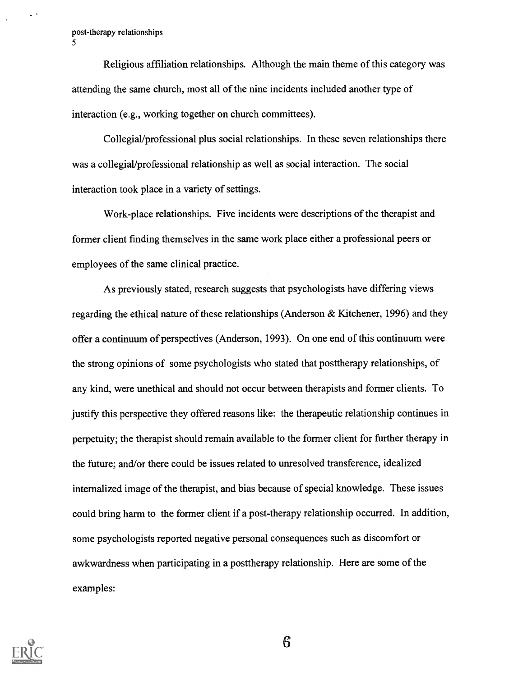$\sim$  1

Religious affiliation relationships. Although the main theme of this category was attending the same church, most all of the nine incidents included another type of interaction (e.g., working together on church committees).

Collegial/professional plus social relationships. In these seven relationships there was a collegial/professional relationship as well as social interaction. The social interaction took place in a variety of settings.

Work-place relationships. Five incidents were descriptions of the therapist and former client finding themselves in the same work place either a professional peers or employees of the same clinical practice.

As previously stated, research suggests that psychologists have differing views regarding the ethical nature of these relationships (Anderson  $\&$  Kitchener, 1996) and they offer a continuum of perspectives (Anderson, 1993). On one end of this continuum were the strong opinions of some psychologists who stated that posttherapy relationships, of any kind, were unethical and should not occur between therapists and former clients. To justify this perspective they offered reasons like: the therapeutic relationship continues in perpetuity; the therapist should remain available to the former client for further therapy in the future; and/or there could be issues related to unresolved transference, idealized internalized image of the therapist, and bias because of special knowledge. These issues could bring harm to the former client if a post-therapy relationship occurred. In addition, some psychologists reported negative personal consequences such as discomfort or awkwardness when participating in a posttherapy relationship. Here are some of the examples:

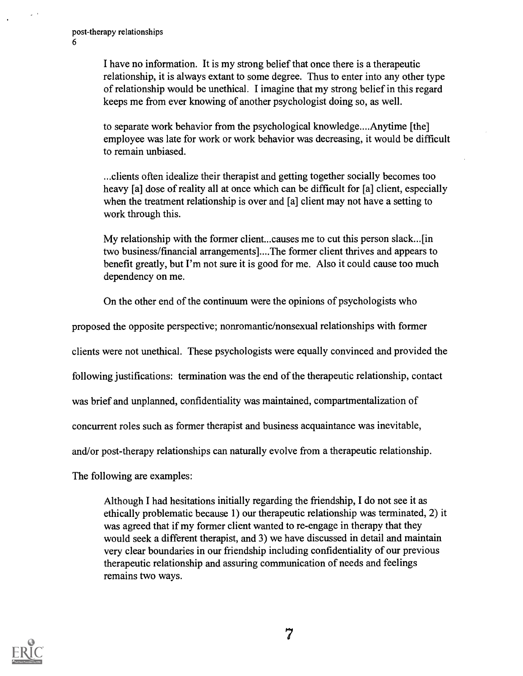I have no information. It is my strong belief that once there is a therapeutic relationship, it is always extant to some degree. Thus to enter into any other type of relationship would be unethical. I imagine that my strong belief in this regard keeps me from ever knowing of another psychologist doing so, as well.

to separate work behavior from the psychological knowledge....Anytime [the] employee was late for work or work behavior was decreasing, it would be difficult to remain unbiased.

...clients often idealize their therapist and getting together socially becomes too heavy [a] dose of reality all at once which can be difficult for [a] client, especially when the treatment relationship is over and [a] client may not have a setting to work through this.

My relationship with the former client...causes me to cut this person slack...[in two business/financial arrangements]....The former client thrives and appears to benefit greatly, but I'm not sure it is good for me. Also it could cause too much dependency on me.

On the other end of the continuum were the opinions of psychologists who

proposed the opposite perspective; nonromantic/nonsexual relationships with former

clients were not unethical. These psychologists were equally convinced and provided the

following justifications: termination was the end of the therapeutic relationship, contact

was brief and unplanned, confidentiality was maintained, compartmentalization of

concurrent roles such as former therapist and business acquaintance was inevitable,

and/or post-therapy relationships can naturally evolve from a therapeutic relationship.

The following are examples:

Although I had hesitations initially regarding the friendship, I do not see it as ethically problematic because 1) our therapeutic relationship was terminated, 2) it was agreed that if my former client wanted to re-engage in therapy that they would seek a different therapist, and 3) we have discussed in detail and maintain very clear boundaries in our friendship including confidentiality of our previous therapeutic relationship and assuring communication of needs and feelings remains two ways.

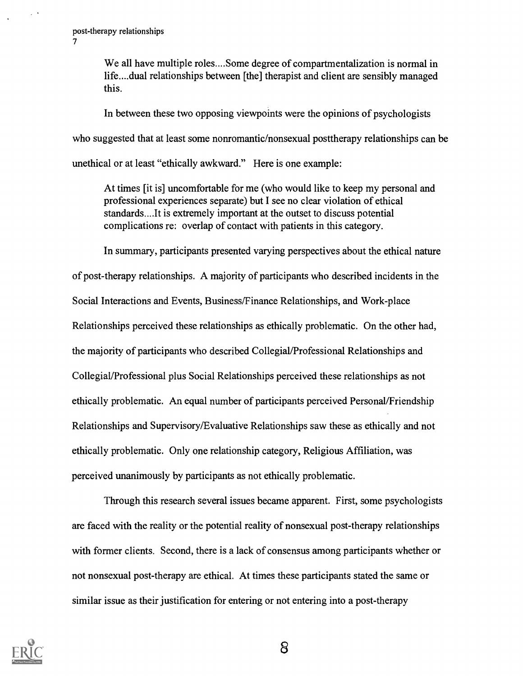We all have multiple roles....Some degree of compartmentalization is normal in life....dual relationships between [the] therapist and client are sensibly managed this.

In between these two opposing viewpoints were the opinions of psychologists who suggested that at least some nonromantic/nonsexual posttherapy relationships can be unethical or at least "ethically awkward." Here is one example:

At times [it is] uncomfortable for me (who would like to keep my personal and professional experiences separate) but I see no clear violation of ethical standards....It is extremely important at the outset to discuss potential complications re: overlap of contact with patients in this category.

In summary, participants presented varying perspectives about the ethical nature of post-therapy relationships. A majority of participants who described incidents in the Social Interactions and Events, Business/Finance Relationships, and Work-place Relationships perceived these relationships as ethically problematic. On the other had, the majority of participants who described Collegial/Professional Relationships and Collegial/Professional plus Social Relationships perceived these relationships as not ethically problematic. An equal number of participants perceived Personal/Friendship Relationships and Supervisory/Evaluative Relationships saw these as ethically and not ethically problematic. Only one relationship category, Religious Affiliation, was perceived unanimously by participants as not ethically problematic.

Through this research several issues became apparent. First, some psychologists are faced with the reality or the potential reality of nonsexual post-therapy relationships with former clients. Second, there is a lack of consensus among participants whether or not nonsexual post-therapy are ethical. At times these participants stated the same or similar issue as their justification for entering or not entering into a post-therapy

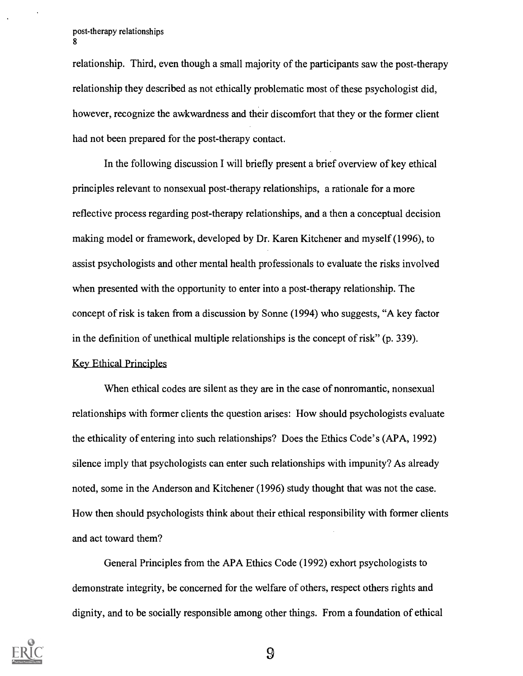relationship. Third, even though a small majority of the participants saw the post-therapy relationship they described as not ethically problematic most of these psychologist did, however, recognize the awkwardness and their discomfort that they or the former client had not been prepared for the post-therapy contact.

In the following discussion I will briefly present a brief overview of key ethical principles relevant to nonsexual post-therapy relationships, a rationale for a more reflective process regarding post-therapy relationships, and a then a conceptual decision making model or framework, developed by Dr. Karen Kitchener and myself (1996), to assist psychologists and other mental health professionals to evaluate the risks involved when presented with the opportunity to enter into a post-therapy relationship. The concept of risk is taken from a discussion by Sonne (1994) who suggests, "A key factor in the definition of unethical multiple relationships is the concept of risk" (p. 339). Key Ethical Principles

When ethical codes are silent as they are in the case of nonromantic, nonsexual relationships with former clients the question arises: How should psychologists evaluate the ethicality of entering into such relationships? Does the Ethics Code's (APA, 1992) silence imply that psychologists can enter such relationships with impunity? As already noted, some in the Anderson and Kitchener (1996) study thought that was not the case. How then should psychologists think about their ethical responsibility with former clients and act toward them?

General Principles from the APA Ethics Code (1992) exhort psychologists to demonstrate integrity, be concerned for the welfare of others, respect others rights and dignity, and to be socially responsible among other things. From a foundation of ethical

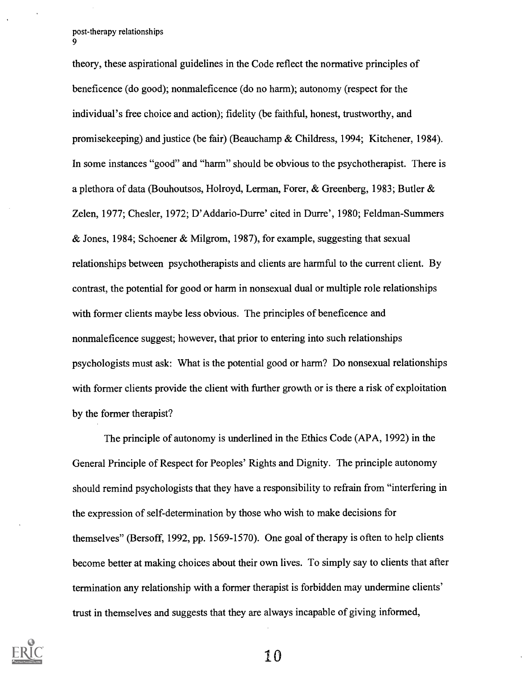theory, these aspirational guidelines in the Code reflect the normative principles of beneficence (do good); nonmaleficence (do no harm); autonomy (respect for the individual's free choice and action); fidelity (be faithful, honest, trustworthy, and promisekeeping) and justice (be fair) (Beauchamp & Childress, 1994; Kitchener, 1984). In some instances "good" and "harm" should be obvious to the psychotherapist. There is a plethora of data (Bouhoutsos, Holroyd, Lerman, Forer, & Greenberg, 1983; Butler & Zelen, 1977; Chesler, 1972; D'Addario-Durre' cited in Durre', 1980; Feldman-Summers & Jones, 1984; Schoener & Milgrom, 1987), for example, suggesting that sexual relationships between psychotherapists and clients are harmful to the current client. By contrast, the potential for good or harm in nonsexual dual or multiple role relationships with former clients maybe less obvious. The principles of beneficence and nonmaleficence suggest; however, that prior to entering into such relationships psychologists must ask: What is the potential good or harm? Do nonsexual relationships with former clients provide the client with further growth or is there a risk of exploitation by the former therapist?

The principle of autonomy is underlined in the Ethics Code (APA, 1992) in the General Principle of Respect for Peoples' Rights and Dignity. The principle autonomy should remind psychologists that they have a responsibility to refrain from "interfering in the expression of self-determination by those who wish to make decisions for themselves" (Bersoff, 1992, pp. 1569-1570). One goal of therapy is often to help clients become better at making choices about their own lives. To simply say to clients that after termination any relationship with a former therapist is forbidden may undermine clients' trust in themselves and suggests that they are always incapable of giving informed,

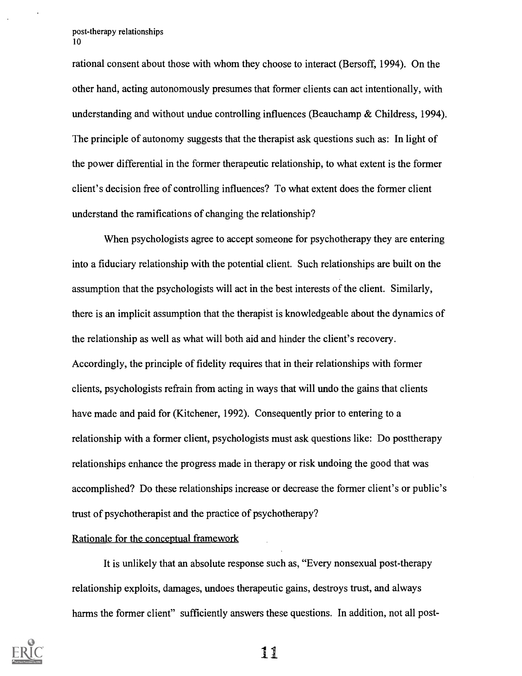rational consent about those with whom they choose to interact (Bersoff, 1994). On the other hand, acting autonomously presumes that former clients can act intentionally, with understanding and without undue controlling influences (Beauchamp & Childress, 1994). The principle of autonomy suggests that the therapist ask questions such as: In light of the power differential in the former therapeutic relationship, to what extent is the former client's decision free of controlling influences? To what extent does the former client understand the ramifications of changing the relationship?

When psychologists agree to accept someone for psychotherapy they are entering into a fiduciary relationship with the potential client. Such relationships are built on the assumption that the psychologists will act in the best interests of the client. Similarly, there is an implicit assumption that the therapist is knowledgeable about the dynamics of the relationship as well as what will both aid and hinder the client's recovery. Accordingly, the principle of fidelity requires that in their relationships with former clients, psychologists refrain from acting in ways that will undo the gains that clients have made and paid for (Kitchener, 1992). Consequently prior to entering to a relationship with a former client, psychologists must ask questions like: Do posttherapy relationships enhance the progress made in therapy or risk undoing the good that was accomplished? Do these relationships increase or decrease the former client's or public's trust of psychotherapist and the practice of psychotherapy?

Rationale for the conceptual framework

It is unlikely that an absolute response such as, "Every nonsexual post-therapy relationship exploits, damages, undoes therapeutic gains, destroys trust, and always harms the former client" sufficiently answers these questions. In addition, not all post-

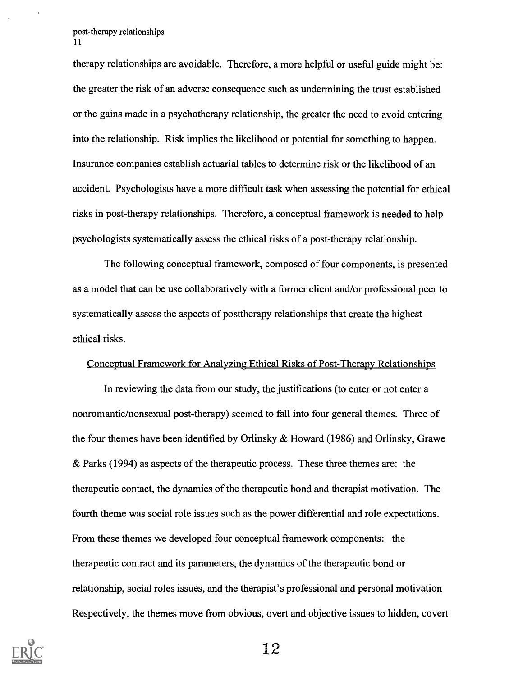therapy relationships are avoidable. Therefore, a more helpful or useful guide might be: the greater the risk of an adverse consequence such as undermining the trust established or the gains made in a psychotherapy relationship, the greater the need to avoid entering into the relationship. Risk implies the likelihood or potential for something to happen. Insurance companies establish actuarial tables to determine risk or the likelihood of an accident. Psychologists have a more difficult task when assessing the potential for ethical risks in post-therapy relationships. Therefore, a conceptual framework is needed to help psychologists systematically assess the ethical risks of a post-therapy relationship.

The following conceptual framework, composed of four components, is presented as a model that can be use collaboratively with a former client and/or professional peer to systematically assess the aspects of posttherapy relationships that create the highest ethical risks.

#### Conceptual Framework for Analyzing Ethical Risks of Post-Therapy Relationships

In reviewing the data from our study, the justifications (to enter or not enter a nonromantic/nonsexual post-therapy) seemed to fall into four general themes. Three of the four themes have been identified by Orlinsky & Howard (1986) and Orlinsky, Grawe & Parks (1994) as aspects of the therapeutic process. These three themes are: the therapeutic contact, the dynamics of the therapeutic bond and therapist motivation. The fourth theme was social role issues such as the power differential and role expectations. From these themes we developed four conceptual framework components: the therapeutic contract and its parameters, the dynamics of the therapeutic bond or relationship, social roles issues, and the therapist's professional and personal motivation Respectively, the themes move from obvious, overt and objective issues to hidden, covert

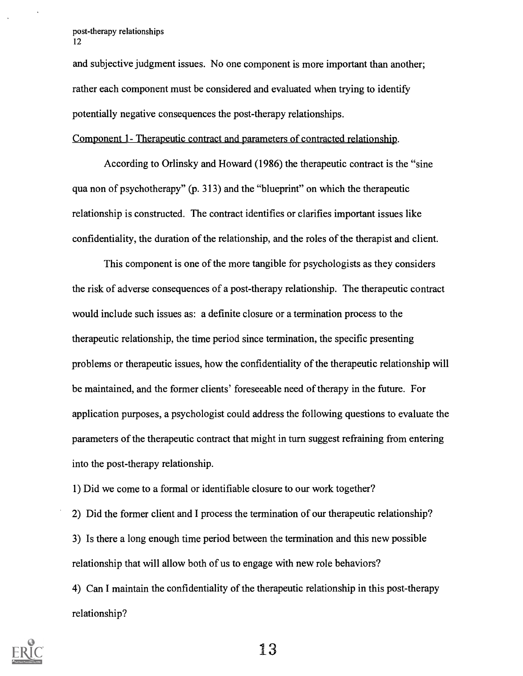and subjective judgment issues. No one component is more important than another; rather each component must be considered and evaluated when trying to identify potentially negative consequences the post-therapy relationships.

Component 1- Therapeutic contract and parameters of contracted relationship.

According to Orlinsky and Howard (1986) the therapeutic contract is the "sine qua non of psychotherapy" (p. 313) and the "blueprint" on which the therapeutic relationship is constructed. The contract identifies or clarifies important issues like confidentiality, the duration of the relationship, and the roles of the therapist and client.

This component is one of the more tangible for psychologists as they considers the risk of adverse consequences of a post-therapy relationship. The therapeutic contract would include such issues as: a definite closure or a termination process to the therapeutic relationship, the time period since termination, the specific presenting problems or therapeutic issues, how the confidentiality of the therapeutic relationship will be maintained, and the former clients' foreseeable need of therapy in the future. For application purposes, a psychologist could address the following questions to evaluate the parameters of the therapeutic contract that might in turn suggest refraining from entering into the post-therapy relationship.

1) Did we come to a formal or identifiable closure to our work together?

2) Did the former client and I process the termination of our therapeutic relationship? 3) Is there a long enough time period between the termination and this new possible relationship that will allow both of us to engage with new role behaviors?

4) Can I maintain the confidentiality of the therapeutic relationship in this post-therapy relationship?

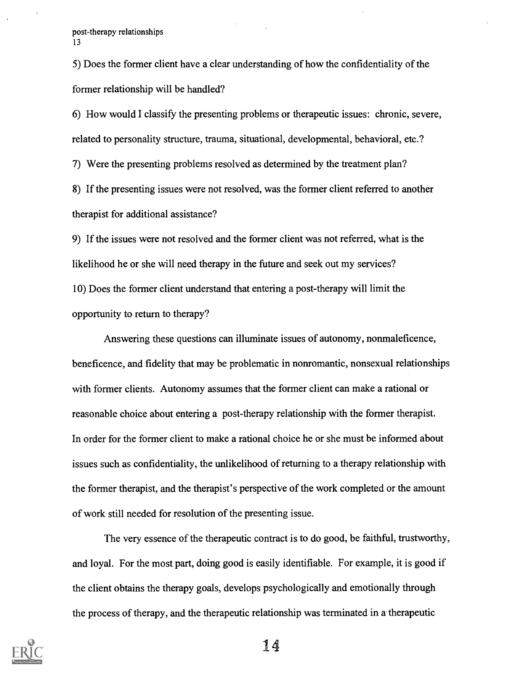5) Does the former client have a clear understanding of how the confidentiality of the former relationship will be handled?

6) How would I classify the presenting problems or therapeutic issues: chronic, severe, related to personality structure, trauma, situational, developmental, behavioral, etc.?

7) Were the presenting problems resolved as determined by the treatment plan?

8) If the presenting issues were not resolved, was the former client referred to another therapist for additional assistance?

9) If the issues were not resolved and the former client was not referred, what is the likelihood he or she will need therapy in the future and seek out my services? 10) Does the former client understand that entering a post-therapy will limit the opportunity to return to therapy?

Answering these questions can illuminate issues of autonomy, nonmaleficence, beneficence, and fidelity that may be problematic in nonromantic, nonsexual relationships with former clients. Autonomy assumes that the former client can make a rational or reasonable choice about entering a post-therapy relationship with the former therapist. In order for the former client to make a rational choice he or she must be informed about issues such as confidentiality, the unlikelihood of returning to a therapy relationship with the former therapist, and the therapist's perspective of the work completed or the amount of work still needed for resolution of the presenting issue.

The very essence of the therapeutic contract is to do good, be faithful, trustworthy, and loyal. For the most part, doing good is easily identifiable. For example, it is good if the client obtains the therapy goals, develops psychologically and emotionally through the process of therapy, and the therapeutic relationship was terminated in a therapeutic

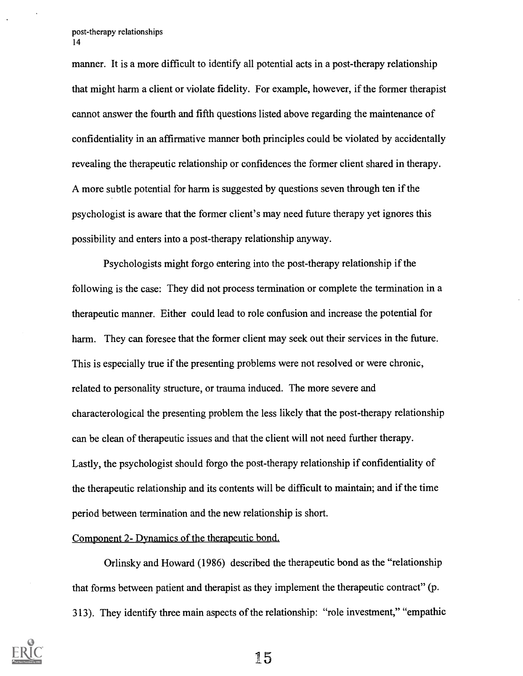manner. It is a more difficult to identify all potential acts in a post-therapy relationship that might harm a client or violate fidelity. For example, however, if the former therapist cannot answer the fourth and fifth questions listed above regarding the maintenance of confidentiality in an affirmative manner both principles could be violated by accidentally revealing the therapeutic relationship or confidences the former client shared in therapy. A more subtle potential for harm is suggested by questions seven through ten if the psychologist is aware that the former client's may need future therapy yet ignores this possibility and enters into a post-therapy relationship anyway.

Psychologists might forgo entering into the post-therapy relationship if the following is the case: They did not process termination or complete the termination in a therapeutic manner. Either could lead to role confusion and increase the potential for harm. They can foresee that the former client may seek out their services in the future. This is especially true if the presenting problems were not resolved or were chronic, related to personality structure, or trauma induced. The more severe and characterological the presenting problem the less likely that the post-therapy relationship can be clean of therapeutic issues and that the client will not need further therapy. Lastly, the psychologist should forgo the post-therapy relationship if confidentiality of the therapeutic relationship and its contents will be difficult to maintain; and if the time period between termination and the new relationship is short.

#### Component 2- Dynamics of the therapeutic bond.

Orlinsky and Howard (1986) described the therapeutic bond as the "relationship that forms between patient and therapist as they implement the therapeutic contract" (p. 313). They identify three main aspects of the relationship: "role investment," "empathic

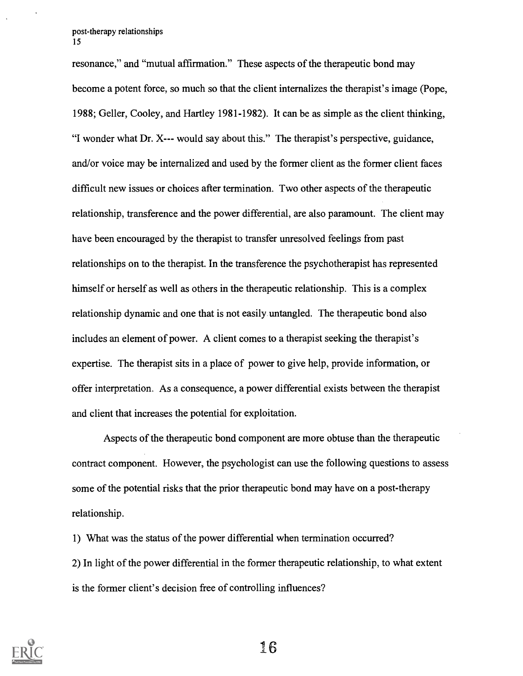resonance," and "mutual affirmation." These aspects of the therapeutic bond may become a potent force, so much so that the client internalizes the therapist's image (Pope, 1988; Geller, Cooley, and Hartley 1981-1982). It can be as simple as the client thinking, "I wonder what Dr. X--- would say about this." The therapist's perspective, guidance, and/or voice may be internalized and used by the former client as the former client faces difficult new issues or choices after termination. Two other aspects of the therapeutic relationship, transference and the power differential, are also paramount. The client may have been encouraged by the therapist to transfer unresolved feelings from past relationships on to the therapist. In the transference the psychotherapist has represented himself or herself as well as others in the therapeutic relationship. This is a complex relationship dynamic and one that is not easily untangled. The therapeutic bond also includes an element of power. A client comes to a therapist seeking the therapist's expertise. The therapist sits in a place of power to give help, provide information, or offer interpretation. As a consequence, a power differential exists between the therapist and client that increases the potential for exploitation.

Aspects of the therapeutic bond component are more obtuse than the therapeutic contract component. However, the psychologist can use the following questions to assess some of the potential risks that the prior therapeutic bond may have on a post-therapy relationship.

1) What was the status of the power differential when termination occurred? 2) In light of the power differential in the former therapeutic relationship, to what extent is the former client's decision free of controlling influences?

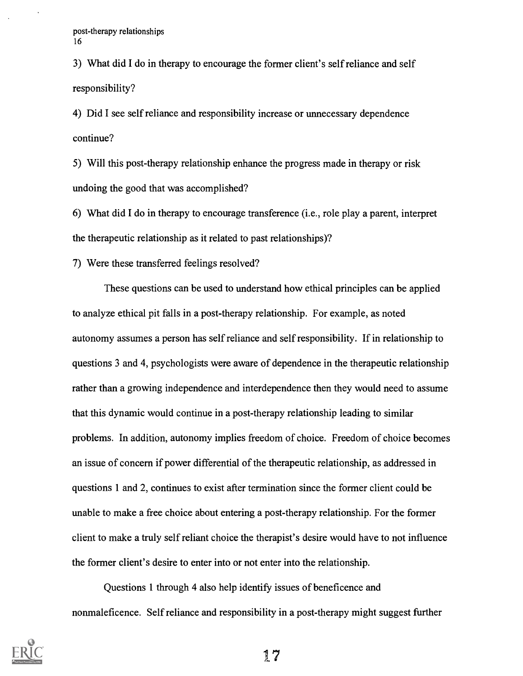3) What did I do in therapy to encourage the former client's self reliance and self responsibility?

4) Did I see self reliance and responsibility increase or unnecessary dependence continue?

5) Will this post-therapy relationship enhance the progress made in therapy or risk undoing the good that was accomplished?

6) What did I do in therapy to encourage transference (i.e., role play a parent, interpret the therapeutic relationship as it related to past relationships)?

7) Were these transferred feelings resolved?

These questions can be used to understand how ethical principles can be applied to analyze ethical pit falls in a post-therapy relationship. For example, as noted autonomy assumes a person has self reliance and self responsibility. If in relationship to questions 3 and 4, psychologists were aware of dependence in the therapeutic relationship rather than a growing independence and interdependence then they would need to assume that this dynamic would continue in a post-therapy relationship leading to similar problems. In addition, autonomy implies freedom of choice. Freedom of choice becomes an issue of concern if power differential of the therapeutic relationship, as addressed in questions 1 and 2, continues to exist after termination since the former client could be unable to make a free choice about entering a post-therapy relationship. For the former client to make a truly self reliant choice the therapist's desire would have to not influence the former client's desire to enter into or not enter into the relationship.

Questions 1 through 4 also help identify issues of beneficence and nonmaleficence. Self reliance and responsibility in a post-therapy might suggest further

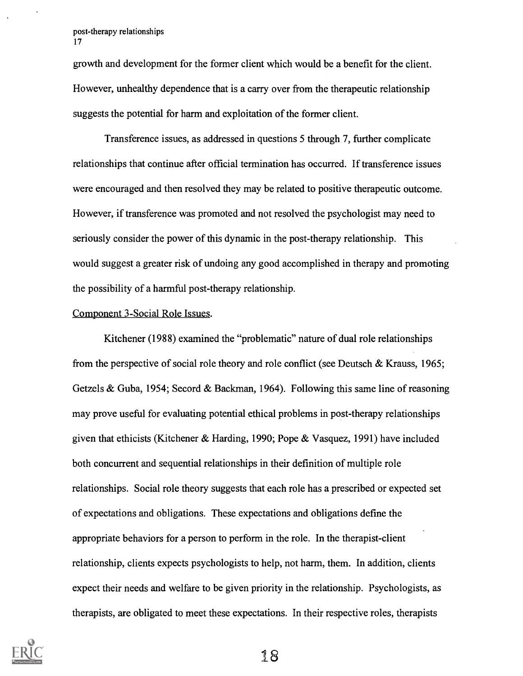growth and development for the former client which would be a benefit for the client. However, unhealthy dependence that is a carry over from the therapeutic relationship suggests the potential for harm and exploitation of the former client.

Transference issues, as addressed in questions 5 through 7, further complicate relationships that continue after official termination has occurred. If transference issues were encouraged and then resolved they may be related to positive therapeutic outcome. However, if transference was promoted and not resolved the psychologist may need to seriously consider the power of this dynamic in the post-therapy relationship. This would suggest a greater risk of undoing any good accomplished in therapy and promoting the possibility of a harmful post-therapy relationship.

#### Component 3-Social Role Issues.

Kitchener (1988) examined the "problematic" nature of dual role relationships from the perspective of social role theory and role conflict (see Deutsch & Krauss, 1965; Getzels & Guba, 1954; Secord & Backman, 1964). Following this same line of reasoning may prove useful for evaluating potential ethical problems in post-therapy relationships given that ethicists (Kitchener & Harding, 1990; Pope & Vasquez, 1991) have included both concurrent and sequential relationships in their definition of multiple role relationships. Social role theory suggests that each role has a prescribed or expected set of expectations and obligations. These expectations and obligations define the appropriate behaviors for a person to perform in the role. In the therapist-client relationship, clients expects psychologists to help, not harm, them. In addition, clients expect their needs and welfare to be given priority in the relationship. Psychologists, as therapists, are obligated to meet these expectations. In their respective roles, therapists

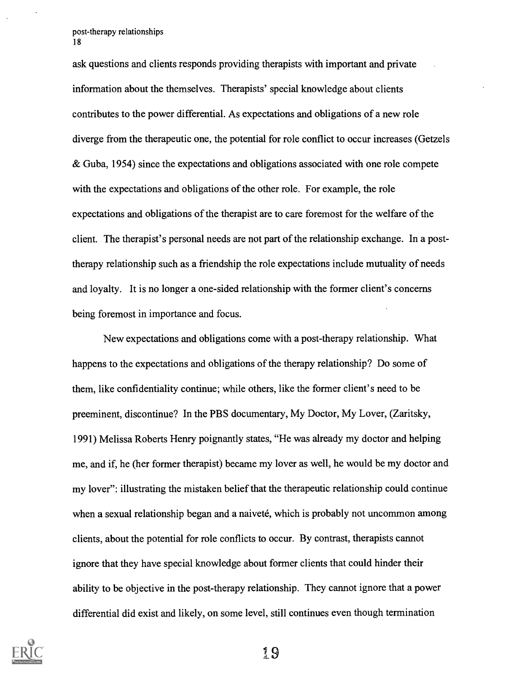ask questions and clients responds providing therapists with important and private information about the themselves. Therapists' special knowledge about clients contributes to the power differential. As expectations and obligations of a new role diverge from the therapeutic one, the potential for role conflict to occur increases (Getzels & Guba, 1954) since the expectations and obligations associated with one role compete with the expectations and obligations of the other role. For example, the role expectations and obligations of the therapist are to care foremost for the welfare of the client. The therapist's personal needs are not part of the relationship exchange. In a posttherapy relationship such as a friendship the role expectations include mutuality of needs and loyalty. It is no longer a one-sided relationship with the former client's concerns being foremost in importance and focus.

New expectations and obligations come with a post-therapy relationship. What happens to the expectations and obligations of the therapy relationship? Do some of them, like confidentiality continue; while others, like the former client's need to be preeminent, discontinue? In the PBS documentary, My Doctor, My Lover, (Zaritsky, 1991) Melissa Roberts Henry poignantly states, "He was already my doctor and helping me, and if, he (her former therapist) became my lover as well, he would be my doctor and my lover": illustrating the mistaken belief that the therapeutic relationship could continue when a sexual relationship began and a naiveté, which is probably not uncommon among clients, about the potential for role conflicts to occur. By contrast, therapists cannot ignore that they have special knowledge about former clients that could hinder their ability to be objective in the post-therapy relationship. They cannot ignore that a power differential did exist and likely, on some level, still continues even though termination

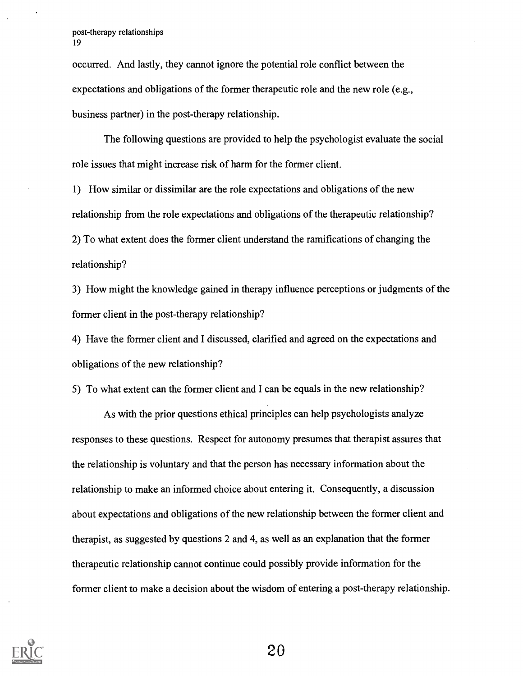occurred. And lastly, they cannot ignore the potential role conflict between the expectations and obligations of the former therapeutic role and the new role (e.g., business partner) in the post-therapy relationship.

The following questions are provided to help the psychologist evaluate the social role issues that might increase risk of harm for the former client.

1) How similar or dissimilar are the role expectations and obligations of the new relationship from the role expectations and obligations of the therapeutic relationship? 2) To what extent does the former client understand the ramifications of changing the relationship?

3) How might the knowledge gained in therapy influence perceptions or judgments of the former client in the post-therapy relationship?

4) Have the former client and I discussed, clarified and agreed on the expectations and obligations of the new relationship?

5) To what extent can the former client and I can be equals in the new relationship?

As with the prior questions ethical principles can help psychologists analyze responses to these questions. Respect for autonomy presumes that therapist assures that the relationship is voluntary and that the person has necessary information about the relationship to make an informed choice about entering it. Consequently, a discussion about expectations and obligations of the new relationship between the former client and therapist, as suggested by questions 2 and 4, as well as an explanation that the former therapeutic relationship cannot continue could possibly provide information for the former client to make a decision about the wisdom of entering a post-therapy relationship.

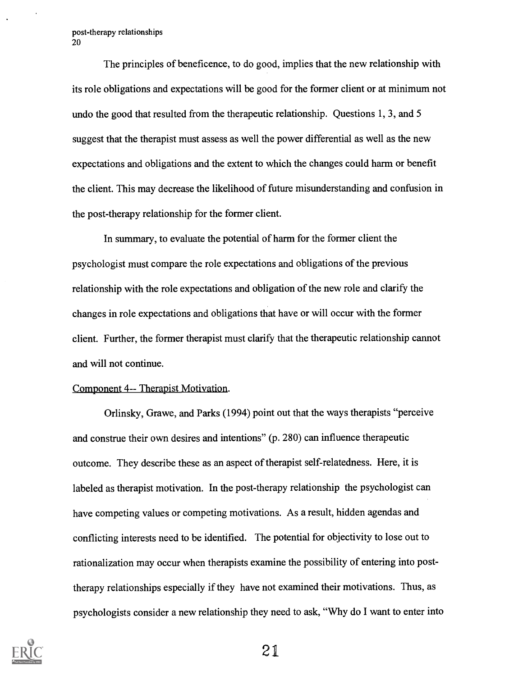The principles of beneficence, to do good, implies that the new relationship with its role obligations and expectations will be good for the former client or at minimum not undo the good that resulted from the therapeutic relationship. Questions 1, 3, and 5 suggest that the therapist must assess as well the power differential as well as the new expectations and obligations and the extent to which the changes could harm or benefit the client. This may decrease the likelihood of future misunderstanding and confusion in the post-therapy relationship for the former client.

In summary, to evaluate the potential of harm for the former client the psychologist must compare the role expectations and obligations of the previous relationship with the role expectations and obligation of the new role and clarify the changes in role expectations and obligations that have or will occur with the former client. Further, the former therapist must clarify that the therapeutic relationship cannot and will not continue.

### Component 4-- Therapist Motivation.

Orlinsky, Grawe, and Parks (1994) point out that the ways therapists "perceive and construe their own desires and intentions" (p. 280) can influence therapeutic outcome. They describe these as an aspect of therapist self-relatedness. Here, it is labeled as therapist motivation. In the post-therapy relationship the psychologist can have competing values or competing motivations. As a result, hidden agendas and conflicting interests need to be identified. The potential for objectivity to lose out to rationalization may occur when therapists examine the possibility of entering into posttherapy relationships especially if they have not examined their motivations. Thus, as psychologists consider a new relationship they need to ask, "Why do I want to enter into

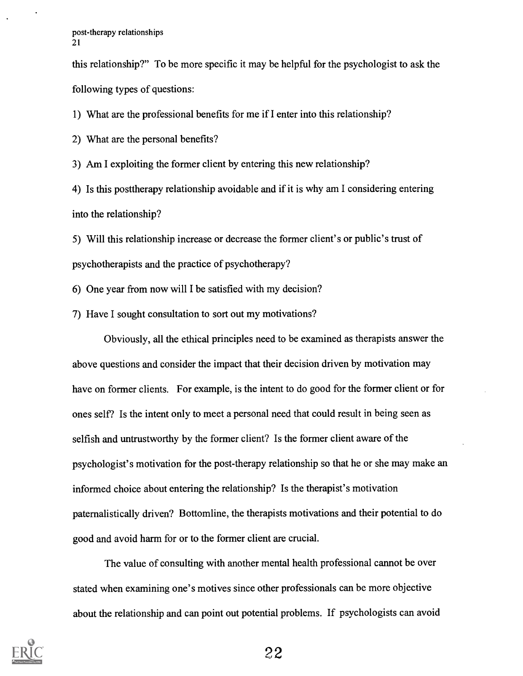this relationship?" To be more specific it may be helpful for the psychologist to ask the following types of questions:

1) What are the professional benefits for me if I enter into this relationship?

2) What are the personal benefits?

3) Am I exploiting the former client by entering this new relationship?

4) Is this posttherapy relationship avoidable and if it is why am I considering entering into the relationship?

5) Will this relationship increase or decrease the former client's or public's trust of psychotherapists and the practice of psychotherapy?

6) One year from now will I be satisfied with my decision?

7) Have I sought consultation to sort out my motivations?

Obviously, all the ethical principles need to be examined as therapists answer the above questions and consider the impact that their decision driven by motivation may have on former clients. For example, is the intent to do good for the former client or for ones self? Is the intent only to meet a personal need that could result in being seen as selfish and untrustworthy by the former client? Is the former client aware of the psychologist's motivation for the post-therapy relationship so that he or she may make an informed choice about entering the relationship? Is the therapist's motivation paternalistically driven? Bottomline, the therapists motivations and their potential to do good and avoid harm for or to the former client are crucial.

The value of consulting with another mental health professional cannot be over stated when examining one's motives since other professionals can be more objective about the relationship and can point out potential problems. If psychologists can avoid

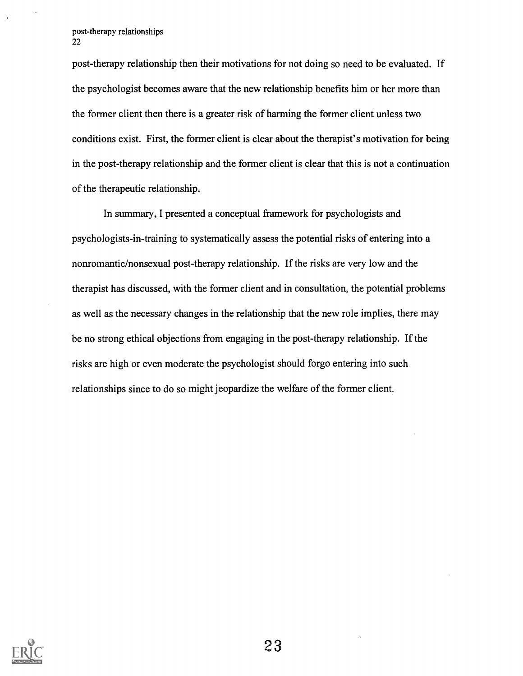post-therapy relationship then their motivations for not doing so need to be evaluated. If the psychologist becomes aware that the new relationship benefits him or her more than the former client then there is a greater risk of harming the former client unless two conditions exist. First, the former client is clear about the therapist's motivation for being in the post-therapy relationship and the former client is clear that this is not a continuation of the therapeutic relationship.

In summary, I presented a conceptual framework for psychologists and psychologists-in-training to systematically assess the potential risks of entering into a nonromantic/nonsexual post-therapy relationship. If the risks are very low and the therapist has discussed, with the former client and in consultation, the potential problems as well as the necessary changes in the relationship that the new role implies, there may be no strong ethical objections from engaging in the post-therapy relationship. If the risks are high or even moderate the psychologist should forgo entering into such relationships since to do so might jeopardize the welfare of the former client.

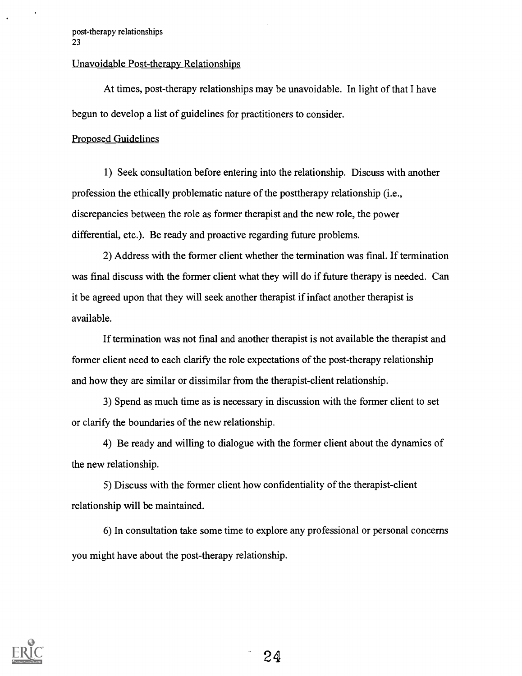### Unavoidable Post-therapy Relationships

At times, post-therapy relationships may be unavoidable. In light of that I have begun to develop a list of guidelines for practitioners to consider.

## Proposed Guidelines

1) Seek consultation before entering into the relationship. Discuss with another profession the ethically problematic nature of the posttherapy relationship (i.e., discrepancies between the role as former therapist and the new role, the power differential, etc.). Be ready and proactive regarding future problems.

2) Address with the former client whether the termination was final. If termination was final discuss with the former client what they will do if future therapy is needed. Can it be agreed upon that they will seek another therapist if infact another therapist is available.

If termination was not final and another therapist is not available the therapist and former client need to each clarify the role expectations of the post-therapy relationship and how they are similar or dissimilar from the therapist-client relationship.

3) Spend as much time as is necessary in discussion with the former client to set or clarify the boundaries of the new relationship.

4) Be ready and willing to dialogue with the former client about the dynamics of the new relationship.

5) Discuss with the former client how confidentiality of the therapist-client relationship will be maintained.

6) In consultation take some time to explore any professional or personal concerns you might have about the post-therapy relationship.

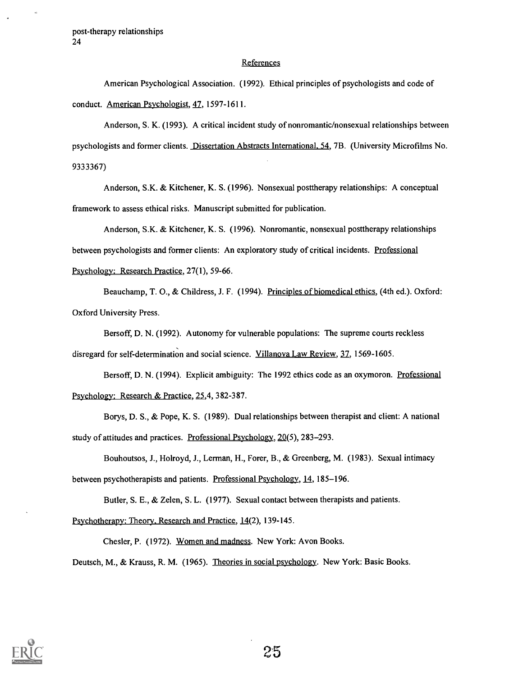#### **References**

American Psychological Association. (1992). Ethical principles of psychologists and code of conduct. American Psychologist, 47, 1597-1611.

Anderson, S. K. (1993). A critical incident study of nonromantic/nonsexual relationships between psychologists and former clients. Dissertation Abstracts International. 54, 7B. (University Microfilms No. 9333367)

Anderson, S.K. & Kitchener, K. S. (1996). Nonsexual posttherapy relationships: A conceptual framework to assess ethical risks. Manuscript submitted for publication.

Anderson, S.K. & Kitchener, K. S. (1996). Nonromantic, nonsexual posttherapy relationships between psychologists and former clients: An exploratory study of critical incidents. Professional Psychology: Research Practice, 27(1), 59-66.

Beauchamp, T. 0., & Childress, J. F. (1994). Principles of biomedical ethics, (4th ed.). Oxford: Oxford University Press.

Bersoff, D. N. (1992). Autonomy for vulnerable populations: The supreme courts reckless disregard for self-determination and social science. Villanova Law Review, 37, 1569-1605.

Bersoff, D. N. (1994). Explicit ambiguity: The 1992 ethics code as an oxymoron. Professional Psychology: Research & Practice, 25,4, 382-387.

Borys, D. S., & Pope, K. S. (1989). Dual relationships between therapist and client: A national study of attitudes and practices. Professional Psychology, 20(5), 283-293.

Bouhoutsos, J., Holroyd, J., Lerman, H., Forer, B., & Greenberg, M. (1983). Sexual intimacy between psychotherapists and patients. Professional Psychology, 14, 185-196.

Butler, S. E., & Zelen, S. L. (1977). Sexual contact between therapists and patients.

Psychotherapy: Theory. Research and Practice, 14(2), 139-145.

Chesler, P. (1972). Women and madness. New York: Avon Books.

Deutsch, M., & Krauss, R. M. (1965). Theories in social psychology. New York: Basic Books.

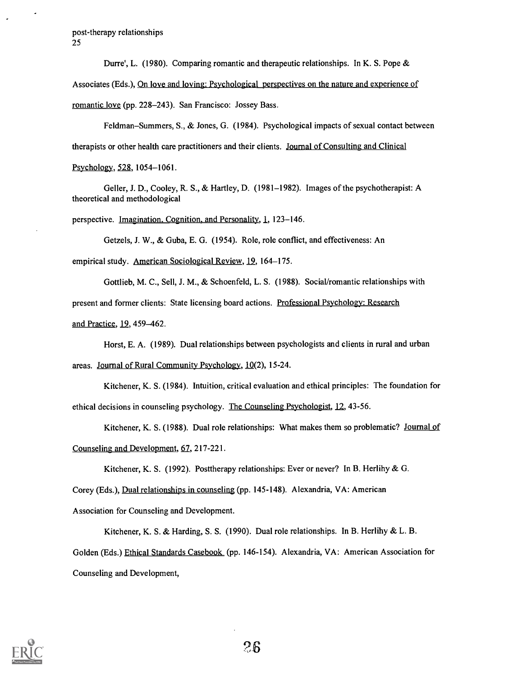Durre', L. (1980). Comparing romantic and therapeutic relationships. In K. S. Pope &

Associates (Eds.), On love and loving: Psychological perspectives on the nature and experience of

romantic love (pp. 228-243). San Francisco: Jossey Bass.

Feldman–Summers, S., & Jones, G. (1984). Psychological impacts of sexual contact between therapists or other health care practitioners and their clients. Journal of Consulting and Clinical Psychology, 528,1054-1061.

Geller, J. D., Cooley, R. S., & Hartley, D. (1981-1982). Images of the psychotherapist: A theoretical and methodological

perspective. Imagination. Cognition. and Personality, 1,123-146.

Getzels, J. W., & Guba, E. G. (1954). Role, role conflict, and effectiveness: An

empirical study. American Sociological Review, 19, 164-175.

Gottlieb, M. C., Sell, J. M., & Schoenfeld, L. S. (1988). Social/romantic relationships with present and former clients: State licensing board actions. Professional Psychology: Research and Practice, 19, 459-462.

Horst, E. A. (1989). Dual relationships between psychologists and clients in rural and urban areas. Journal of Rural Community Psychology, 10(2), 15-24.

Kitchener, K. S. (1984). Intuition, critical evaluation and ethical principles: The foundation for ethical decisions in counseling psychology. The Counseling Psychologist, 12,43-56.

Kitchener, K. S. (1988). Dual role relationships: What makes them so problematic? Journal of Counseling and Development, 67, 217-221.

Kitchener, K. S. (1992). Posttherapy relationships: Ever or never? In B. Herlihy & G.

Corey (Eds.), Dual relationships in counseling (pp. 145-148). Alexandria, VA: American

Association for Counseling and Development.

Kitchener, K. S. & Harding, S. S. (1990). Dual role relationships. In B. Herlihy & L. B. Golden (Eds.) Ethical Standards Casebook (pp. 146-154). Alexandria, VA: American Association for Counseling and Development,

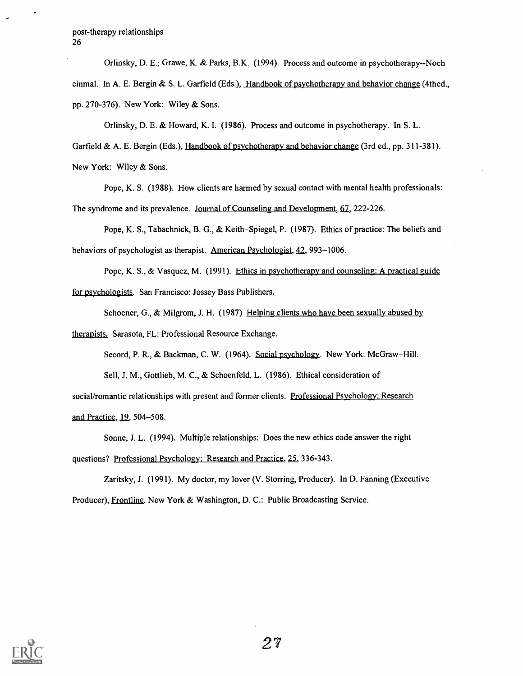Orlinsky, D. E.; Grawe, K. & Parks, B.K. (1994). Process and outcome in psychotherapy--Noch einmal. In A. E. Bergin & S. L. Garfield (Eds.), Handbook of psychotherapy and behavior change (4thed., pp. 270-376). New York: Wiley & Sons.

Orlinsky, D. E. & Howard, K. I. (1986). Process and outcome in psychotherapy. In S. L.

Garfield & A. E. Bergin (Eds.), Handbook of psychotherapy and behavior change (3rd ed., pp. 311-381). New York: Wiley & Sons.

Pope, K. S. (1988). How clients are harmed by sexual contact with mental health professionals: The syndrome and its prevalence. Journal of Counseling and Development, 67, 222-226.

Pope, K. S., Tabachnick, B. G., & Keith–Spiegel, P. (1987). Ethics of practice: The beliefs and behaviors of psychologist as therapist. American Psychologist, 42, 993-1006.

Pope, K. S., & Vasquez, M. (1991). Ethics in psychotherapy and counseling: A practical guide for psychologists. San Francisco: Jossey Bass Publishers.

Schoener, G., & Milgrom, J. H. (1987) Helping clients who have been sexually abused by

therapists. Sarasota, FL: Professional Resource Exchange.

Secord, P. R., & Backman, C. W. (1964). Social psychology. New York: McGraw-Hill.

Sell, J. M., Gottlieb, M. C., & Schoenfeld, L. (1986). Ethical consideration of

social/romantic relationships with present and former clients. Professional Psychology: Research and Practice, 12, 504-508.

Sonne, J. L. (1994). Multiple relationships: Does the new ethics code answer the right questions? Professional Psychology: Research and Practice, 25, 336-343.

Zaritsky, J. (1991). My doctor, my lover (V. Storring, Producer). In D. Fanning (Executive Producer), Frontline. New York & Washington, D. C.: Public Broadcasting Service.